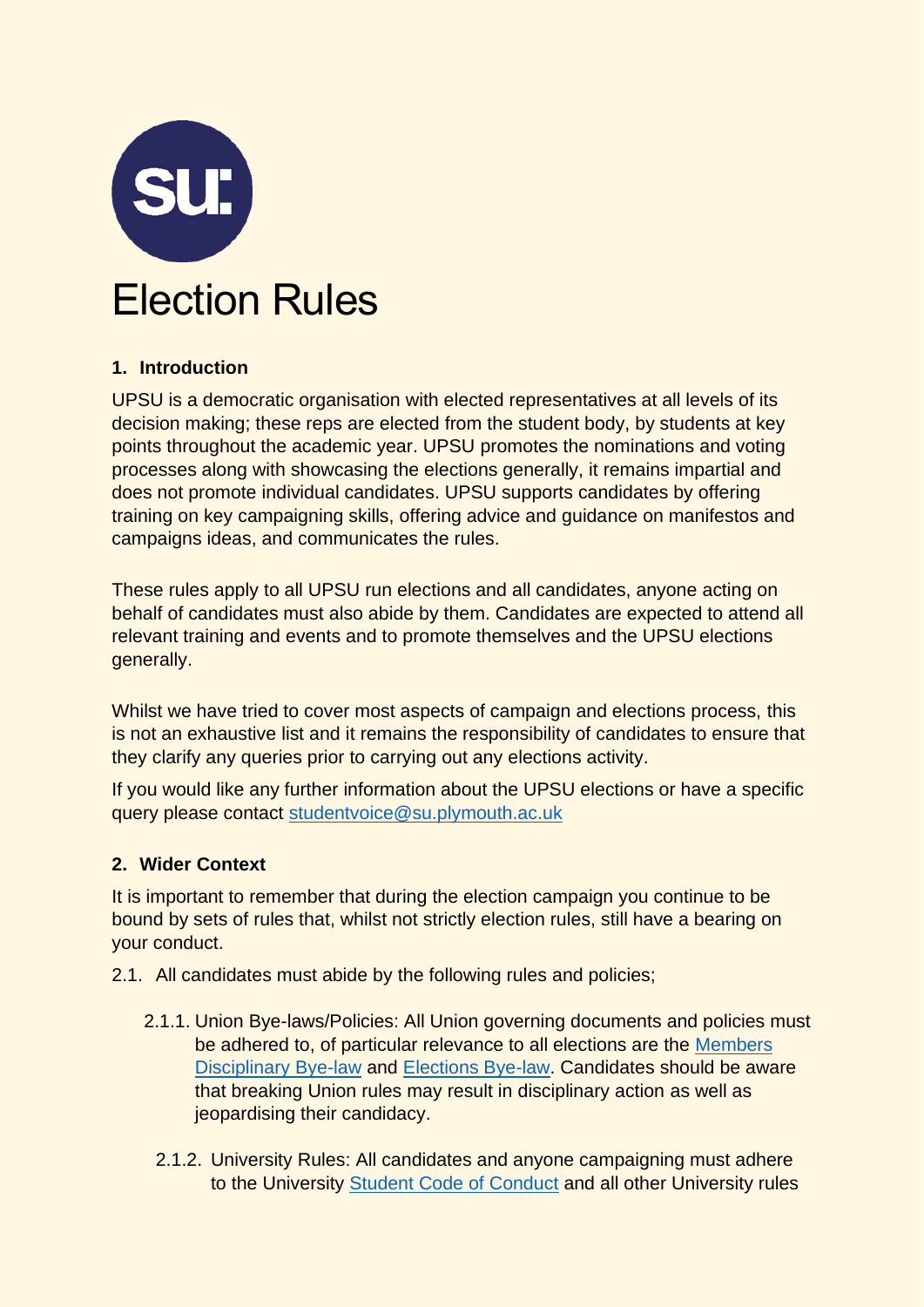

## **1. Introduction**

UPSU is a democratic organisation with elected representatives at all levels of its decision making; these reps are elected from the student body, by students at key points throughout the academic year. UPSU promotes the nominations and voting processes along with showcasing the elections generally, it remains impartial and does not promote individual candidates. UPSU supports candidates by offering training on key campaigning skills, offering advice and guidance on manifestos and campaigns ideas, and communicates the rules.

These rules apply to all UPSU run elections and all candidates, anyone acting on behalf of candidates must also abide by them. Candidates are expected to attend all relevant training and events and to promote themselves and the UPSU elections generally.

Whilst we have tried to cover most aspects of campaign and elections process, this is not an exhaustive list and it remains the responsibility of candidates to ensure that they clarify any queries prior to carrying out any elections activity.

If you would like any further information about the UPSU elections or have a specific query please contact [studentvoice@su.plymouth.ac.uk](mailto:studentvoice@su.plymouth.ac.uk)

## **2. Wider Context**

It is important to remember that during the election campaign you continue to be bound by sets of rules that, whilst not strictly election rules, still have a bearing on your conduct.

- 2.1. All candidates must abide by the following rules and policies;
	- 2.1.1. Union Bye-laws/Policies: All Union governing documents and policies must be adhered to, of particular relevance to all elections are the [Members](https://www.upsu.com/pageassets/about/documents/09_Members_Disciplinary_Bye-Law.pdf)  [Disciplinary Bye-law](https://www.upsu.com/pageassets/about/documents/09_Members_Disciplinary_Bye-Law.pdf) and [Elections Bye-law.](https://www.upsu.com/pageassets/about/documents/UPSU-Elections-Bye-Law-2019.pdf) Candidates should be aware that breaking Union rules may result in disciplinary action as well as jeopardising their candidacy.
		- 2.1.2. University Rules: All candidates and anyone campaigning must adhere to the University [Student Code of Conduct](https://www.plymouth.ac.uk/student-life/your-studies/essential-information/student-conduct) and all other University rules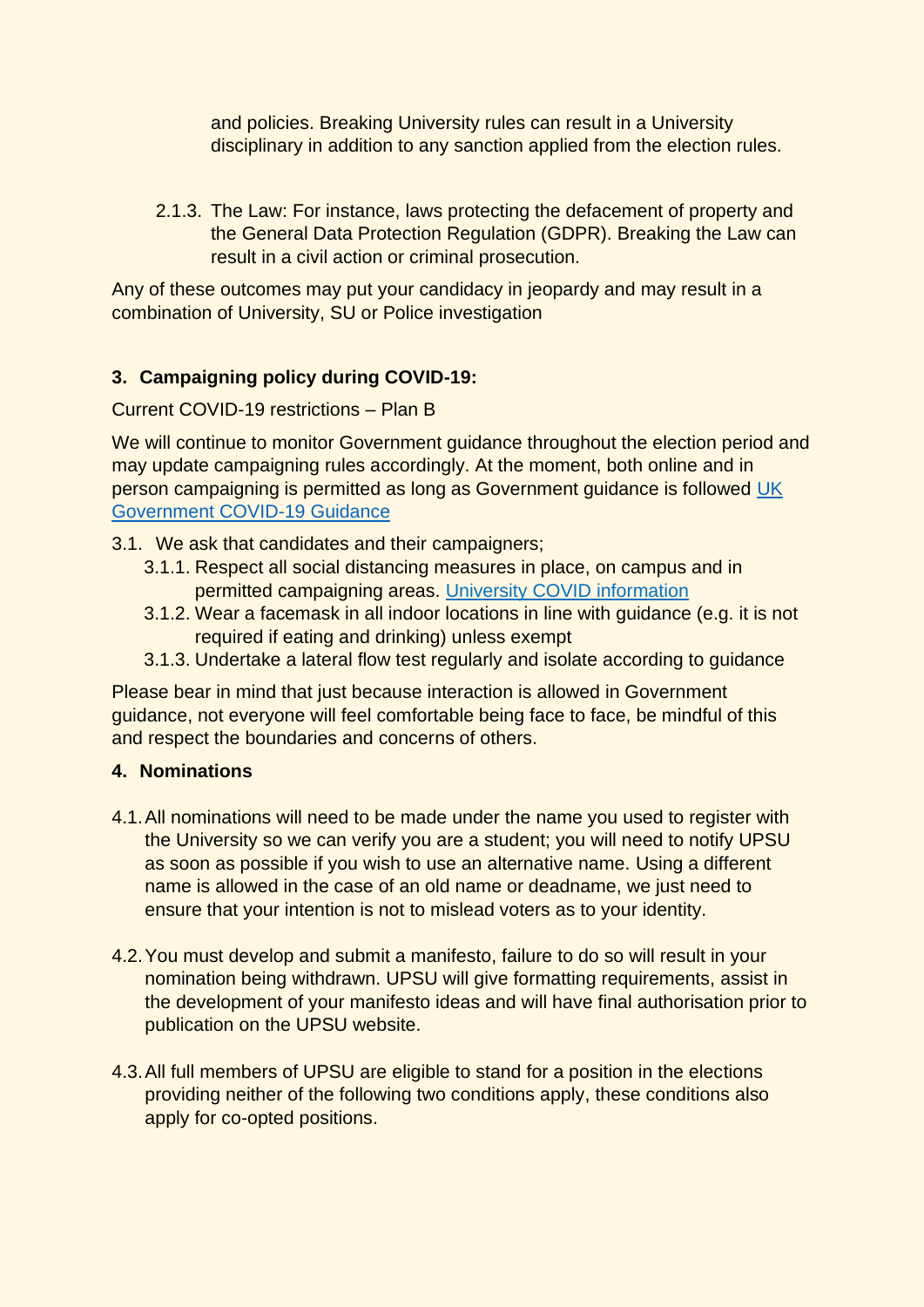and policies. Breaking University rules can result in a University disciplinary in addition to any sanction applied from the election rules.

2.1.3. The Law: For instance, laws protecting the defacement of property and the General Data Protection Regulation (GDPR). Breaking the Law can result in a civil action or criminal prosecution.

Any of these outcomes may put your candidacy in jeopardy and may result in a combination of University, SU or Police investigation

# **3. Campaigning policy during COVID-19:**

Current COVID-19 restrictions – Plan B

We will continue to monitor Government guidance throughout the election period and may update campaigning rules accordingly. At the moment, both online and in person campaigning is permitted as long as Government guidance is followed [UK](https://www.gov.uk/coronavirus)  [Government COVID-19 Guidance](https://www.gov.uk/coronavirus)

3.1. We ask that candidates and their campaigners;

- 3.1.1. Respect all social distancing measures in place, on campus and in permitted campaigning areas. [University COVID information](https://liveplymouthac.sharepoint.com/sites/x70/SitePages/COVID-19.aspx)
- 3.1.2. Wear a facemask in all indoor locations in line with guidance (e.g. it is not required if eating and drinking) unless exempt
- 3.1.3. Undertake a lateral flow test regularly and isolate according to guidance

Please bear in mind that just because interaction is allowed in Government guidance, not everyone will feel comfortable being face to face, be mindful of this and respect the boundaries and concerns of others.

## **4. Nominations**

- 4.1.All nominations will need to be made under the name you used to register with the University so we can verify you are a student; you will need to notify UPSU as soon as possible if you wish to use an alternative name. Using a different name is allowed in the case of an old name or deadname, we just need to ensure that your intention is not to mislead voters as to your identity.
- 4.2.You must develop and submit a manifesto, failure to do so will result in your nomination being withdrawn. UPSU will give formatting requirements, assist in the development of your manifesto ideas and will have final authorisation prior to publication on the UPSU website.
- 4.3.All full members of UPSU are eligible to stand for a position in the elections providing neither of the following two conditions apply, these conditions also apply for co-opted positions.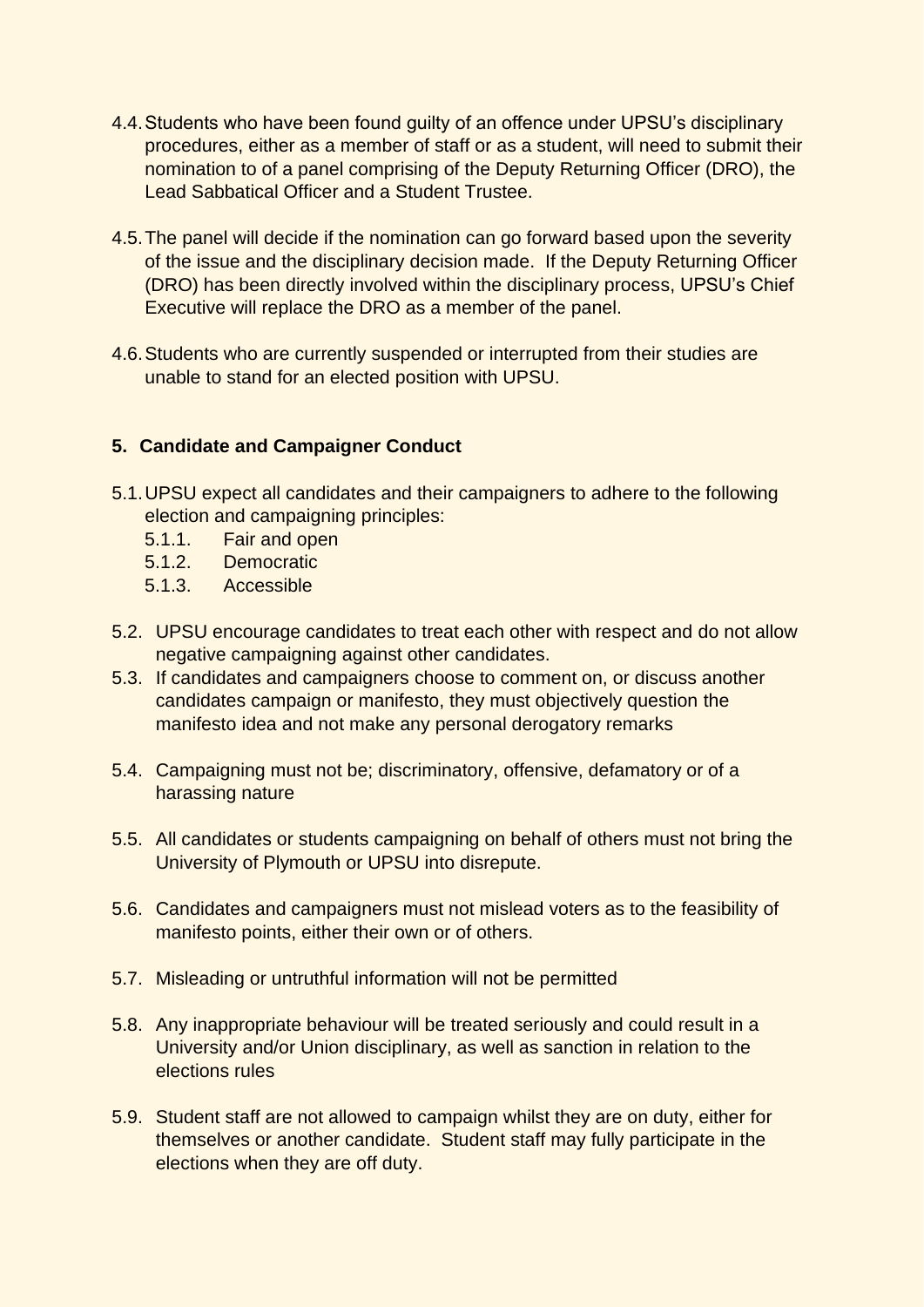- 4.4.Students who have been found guilty of an offence under UPSU's disciplinary procedures, either as a member of staff or as a student, will need to submit their nomination to of a panel comprising of the Deputy Returning Officer (DRO), the Lead Sabbatical Officer and a Student Trustee.
- 4.5.The panel will decide if the nomination can go forward based upon the severity of the issue and the disciplinary decision made. If the Deputy Returning Officer (DRO) has been directly involved within the disciplinary process, UPSU's Chief Executive will replace the DRO as a member of the panel.
- 4.6.Students who are currently suspended or interrupted from their studies are unable to stand for an elected position with UPSU.

## **5. Candidate and Campaigner Conduct**

- 5.1.UPSU expect all candidates and their campaigners to adhere to the following election and campaigning principles:
	- 5.1.1. Fair and open
	- 5.1.2. Democratic
	- 5.1.3. Accessible
- 5.2. UPSU encourage candidates to treat each other with respect and do not allow negative campaigning against other candidates.
- 5.3. If candidates and campaigners choose to comment on, or discuss another candidates campaign or manifesto, they must objectively question the manifesto idea and not make any personal derogatory remarks
- 5.4. Campaigning must not be; discriminatory, offensive, defamatory or of a harassing nature
- 5.5. All candidates or students campaigning on behalf of others must not bring the University of Plymouth or UPSU into disrepute.
- 5.6. Candidates and campaigners must not mislead voters as to the feasibility of manifesto points, either their own or of others.
- 5.7. Misleading or untruthful information will not be permitted
- 5.8. Any inappropriate behaviour will be treated seriously and could result in a University and/or Union disciplinary, as well as sanction in relation to the elections rules
- 5.9. Student staff are not allowed to campaign whilst they are on duty, either for themselves or another candidate. Student staff may fully participate in the elections when they are off duty.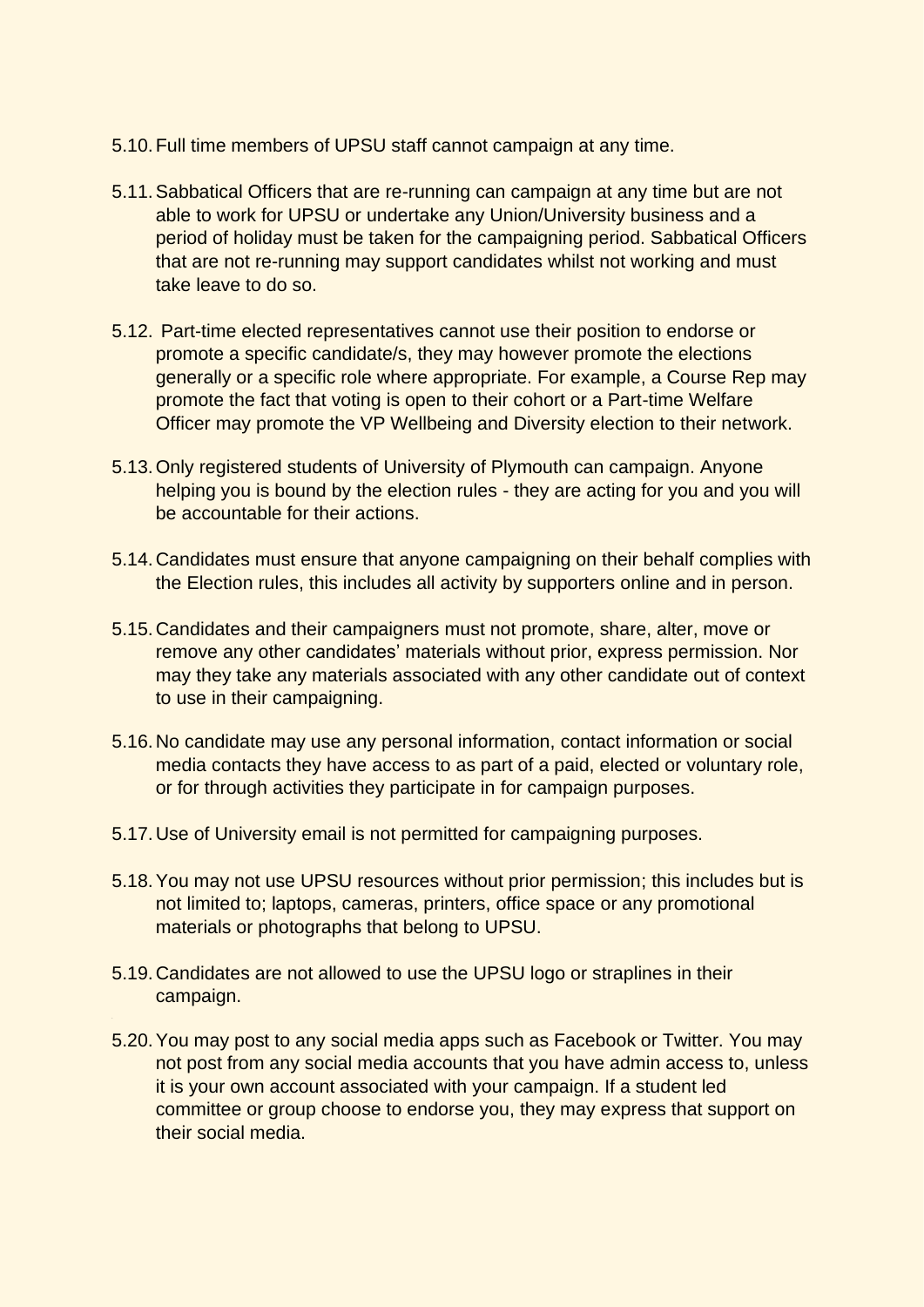- 5.10.Full time members of UPSU staff cannot campaign at any time.
- 5.11.Sabbatical Officers that are re-running can campaign at any time but are not able to work for UPSU or undertake any Union/University business and a period of holiday must be taken for the campaigning period. Sabbatical Officers that are not re-running may support candidates whilst not working and must take leave to do so.
- 5.12. Part-time elected representatives cannot use their position to endorse or promote a specific candidate/s, they may however promote the elections generally or a specific role where appropriate. For example, a Course Rep may promote the fact that voting is open to their cohort or a Part-time Welfare Officer may promote the VP Wellbeing and Diversity election to their network.
- 5.13.Only registered students of University of Plymouth can campaign. Anyone helping you is bound by the election rules - they are acting for you and you will be accountable for their actions.
- 5.14.Candidates must ensure that anyone campaigning on their behalf complies with the Election rules, this includes all activity by supporters online and in person.
- 5.15.Candidates and their campaigners must not promote, share, alter, move or remove any other candidates' materials without prior, express permission. Nor may they take any materials associated with any other candidate out of context to use in their campaigning.
- 5.16.No candidate may use any personal information, contact information or social media contacts they have access to as part of a paid, elected or voluntary role, or for through activities they participate in for campaign purposes.
- 5.17.Use of University email is not permitted for campaigning purposes.
- 5.18.You may not use UPSU resources without prior permission; this includes but is not limited to; laptops, cameras, printers, office space or any promotional materials or photographs that belong to UPSU.
- 5.19.Candidates are not allowed to use the UPSU logo or straplines in their campaign.
- 5.20.You may post to any social media apps such as Facebook or Twitter. You may not post from any social media accounts that you have admin access to, unless it is your own account associated with your campaign. If a student led committee or group choose to endorse you, they may express that support on their social media.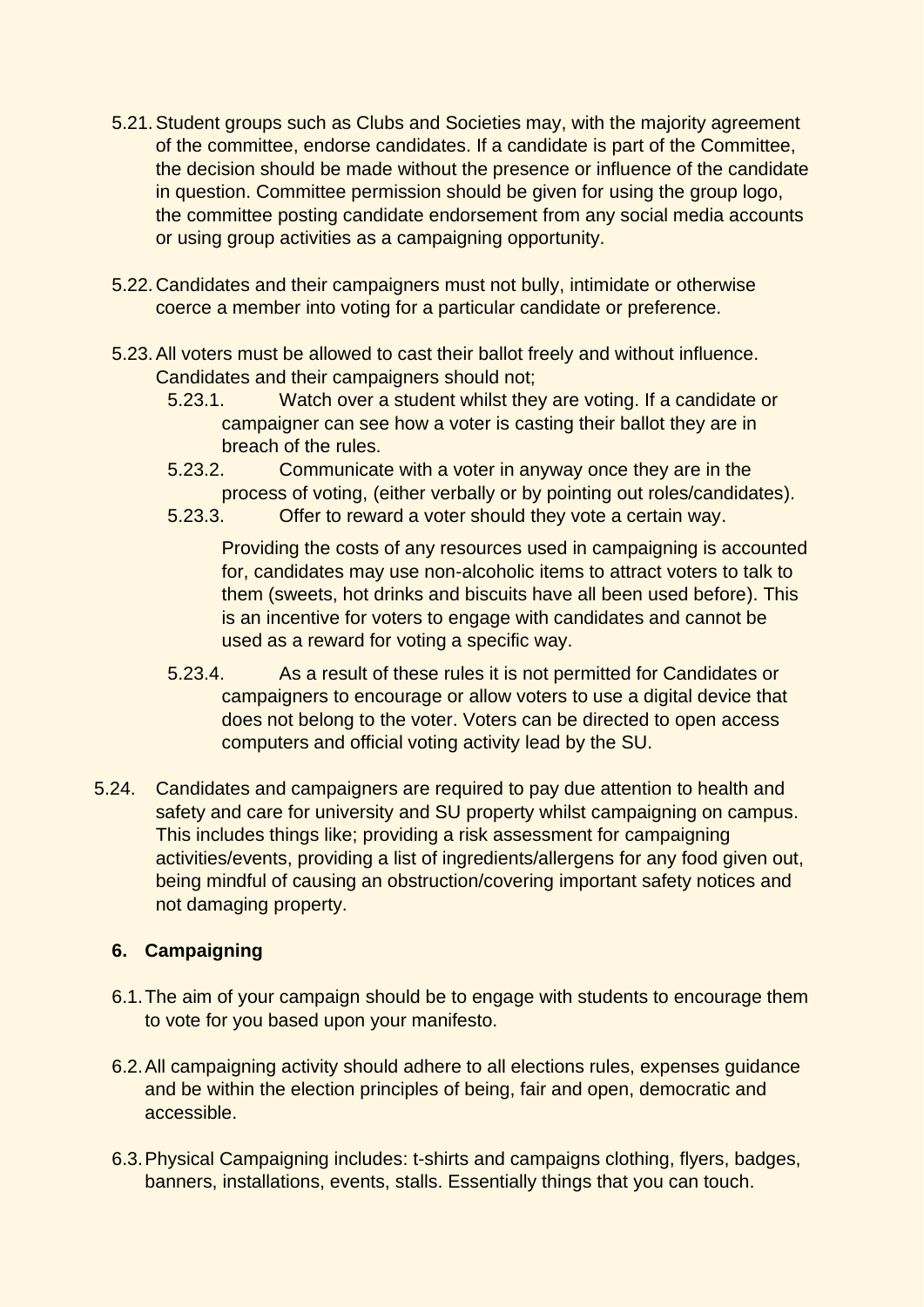- 5.21.Student groups such as Clubs and Societies may, with the majority agreement of the committee, endorse candidates. If a candidate is part of the Committee, the decision should be made without the presence or influence of the candidate in question. Committee permission should be given for using the group logo, the committee posting candidate endorsement from any social media accounts or using group activities as a campaigning opportunity.
- 5.22.Candidates and their campaigners must not bully, intimidate or otherwise coerce a member into voting for a particular candidate or preference.
- 5.23.All voters must be allowed to cast their ballot freely and without influence. Candidates and their campaigners should not;
	- 5.23.1. Watch over a student whilst they are voting. If a candidate or campaigner can see how a voter is casting their ballot they are in breach of the rules.
	- 5.23.2. Communicate with a voter in anyway once they are in the process of voting, (either verbally or by pointing out roles/candidates).
	- 5.23.3. Offer to reward a voter should they vote a certain way.

Providing the costs of any resources used in campaigning is accounted for, candidates may use non-alcoholic items to attract voters to talk to them (sweets, hot drinks and biscuits have all been used before). This is an incentive for voters to engage with candidates and cannot be used as a reward for voting a specific way.

- 5.23.4. As a result of these rules it is not permitted for Candidates or campaigners to encourage or allow voters to use a digital device that does not belong to the voter. Voters can be directed to open access computers and official voting activity lead by the SU.
- 5.24. Candidates and campaigners are required to pay due attention to health and safety and care for university and SU property whilst campaigning on campus. This includes things like; providing a risk assessment for campaigning activities/events, providing a list of ingredients/allergens for any food given out, being mindful of causing an obstruction/covering important safety notices and not damaging property.

## **6. Campaigning**

- 6.1.The aim of your campaign should be to engage with students to encourage them to vote for you based upon your manifesto.
- 6.2.All campaigning activity should adhere to all elections rules, expenses guidance and be within the election principles of being, fair and open, democratic and accessible.
- 6.3.Physical Campaigning includes: t-shirts and campaigns clothing, flyers, badges, banners, installations, events, stalls. Essentially things that you can touch.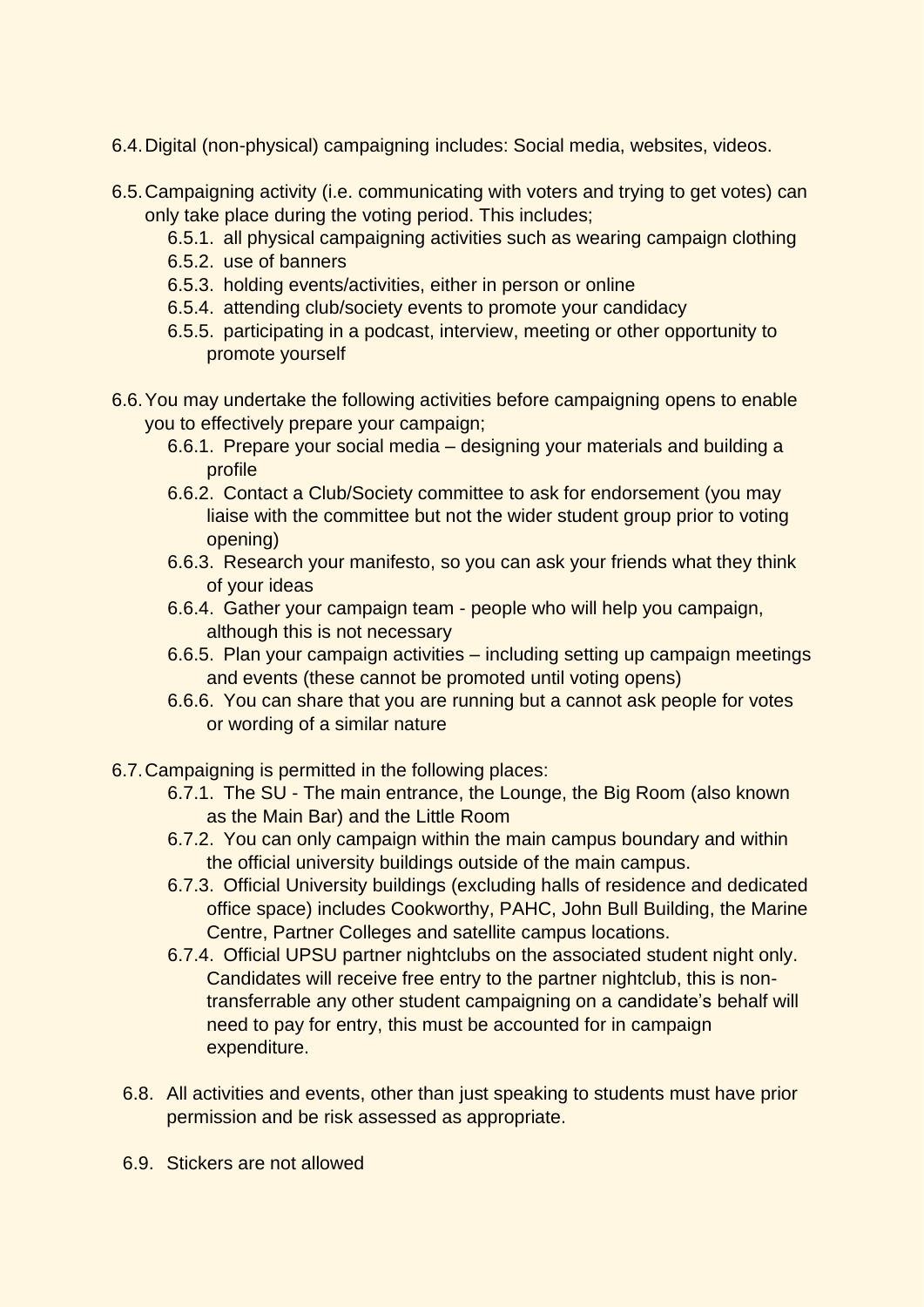- 6.4.Digital (non-physical) campaigning includes: Social media, websites, videos.
- 6.5.Campaigning activity (i.e. communicating with voters and trying to get votes) can only take place during the voting period. This includes;
	- 6.5.1. all physical campaigning activities such as wearing campaign clothing
	- 6.5.2. use of banners
	- 6.5.3. holding events/activities, either in person or online
	- 6.5.4. attending club/society events to promote your candidacy
	- 6.5.5. participating in a podcast, interview, meeting or other opportunity to promote yourself
- 6.6.You may undertake the following activities before campaigning opens to enable you to effectively prepare your campaign;
	- 6.6.1. Prepare your social media designing your materials and building a profile
	- 6.6.2. Contact a Club/Society committee to ask for endorsement (you may liaise with the committee but not the wider student group prior to voting opening)
	- 6.6.3. Research your manifesto, so you can ask your friends what they think of your ideas
	- 6.6.4. Gather your campaign team people who will help you campaign, although this is not necessary
	- 6.6.5. Plan your campaign activities including setting up campaign meetings and events (these cannot be promoted until voting opens)
	- 6.6.6. You can share that you are running but a cannot ask people for votes or wording of a similar nature
- 6.7.Campaigning is permitted in the following places:
	- 6.7.1. The SU The main entrance, the Lounge, the Big Room (also known as the Main Bar) and the Little Room
	- 6.7.2. You can only campaign within the main campus boundary and within the official university buildings outside of the main campus.
	- 6.7.3. Official University buildings (excluding halls of residence and dedicated office space) includes Cookworthy, PAHC, John Bull Building, the Marine Centre, Partner Colleges and satellite campus locations.
	- 6.7.4. Official UPSU partner nightclubs on the associated student night only. Candidates will receive free entry to the partner nightclub, this is nontransferrable any other student campaigning on a candidate's behalf will need to pay for entry, this must be accounted for in campaign expenditure.
	- 6.8. All activities and events, other than just speaking to students must have prior permission and be risk assessed as appropriate.
	- 6.9. Stickers are not allowed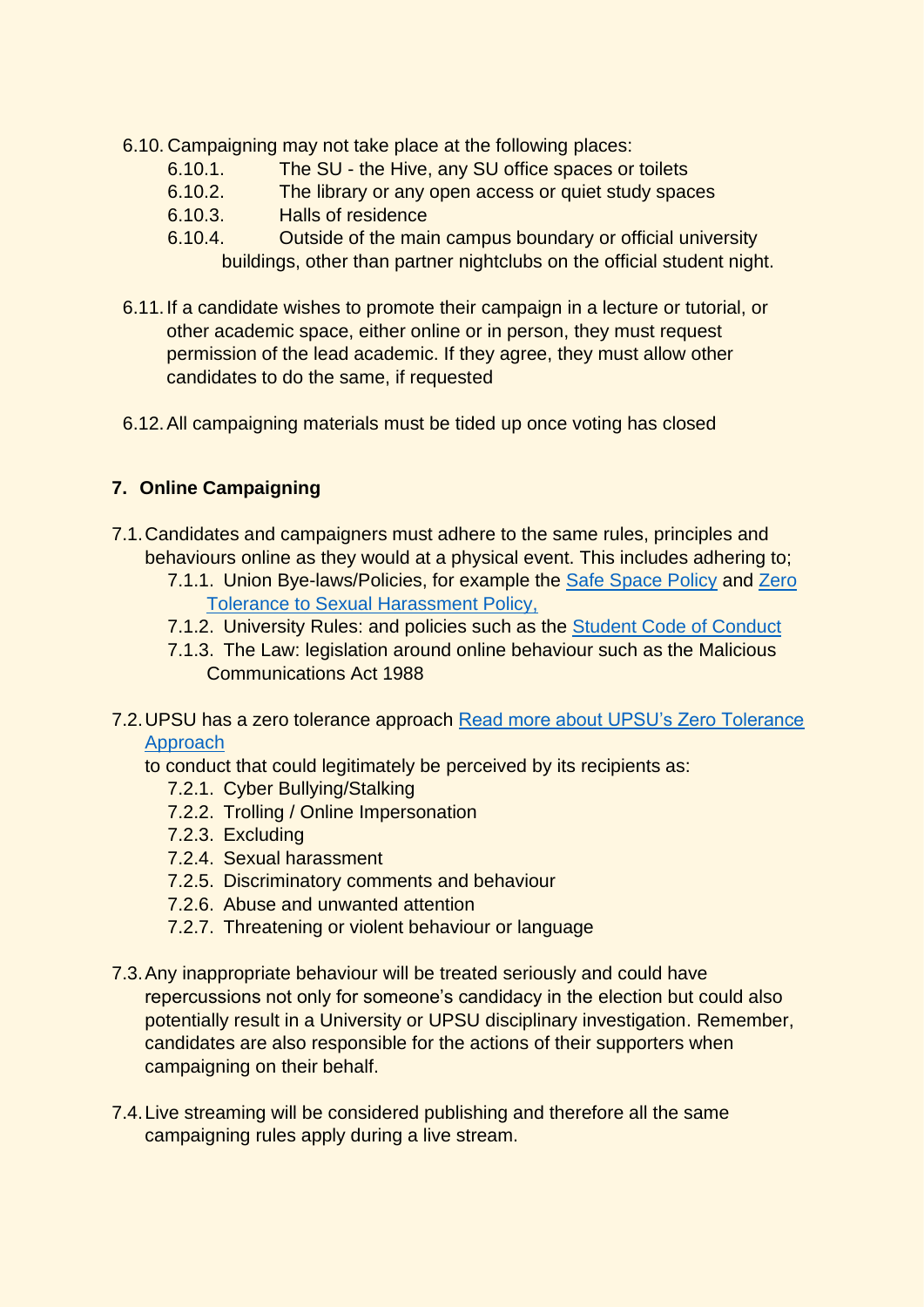- 6.10. Campaigning may not take place at the following places:
	- 6.10.1. The SU the Hive, any SU office spaces or toilets
	- 6.10.2. The library or any open access or quiet study spaces
	- 6.10.3. Halls of residence
	- 6.10.4. Outside of the main campus boundary or official university
		- buildings, other than partner nightclubs on the official student night.
- 6.11.If a candidate wishes to promote their campaign in a lecture or tutorial, or other academic space, either online or in person, they must request permission of the lead academic. If they agree, they must allow other candidates to do the same, if requested
- 6.12.All campaigning materials must be tided up once voting has closed

## **7. Online Campaigning**

- 7.1.Candidates and campaigners must adhere to the same rules, principles and behaviours online as they would at a physical event. This includes adhering to;
	- 7.1.1. Union Bye-laws/Policies, for example the [Safe Space Policy](https://www.upsu.com/pageassets/about/documents/UPSU-Safe-Space-Policy.pdf) and Zero [Tolerance to Sexual Harassment Policy,](https://www.upsu.com/pageassets/about/documents/UPSU-Zero-Tolerance-of-Sexual-Harassment.pdf)
	- 7.1.2. University Rules: and policies such as the [Student Code of Conduct](https://www.plymouth.ac.uk/uploads/production/document/path/17/17958/Code_of_Conduct_Aug_2021.pdf)
	- 7.1.3. The Law: legislation around online behaviour such as the Malicious Communications Act 1988
- 7.2.UPSU has a zero tolerance approach [Read more about UPSU's Zero Tolerance](https://www.upsu.com/news/article/upsu/Cyberbullying/)  [Approach](https://www.upsu.com/news/article/upsu/Cyberbullying/)

to conduct that could legitimately be perceived by its recipients as:

- 7.2.1. Cyber Bullying/Stalking
- 7.2.2. Trolling / Online Impersonation
- 7.2.3. Excluding
- 7.2.4. Sexual harassment
- 7.2.5. Discriminatory comments and behaviour
- 7.2.6. Abuse and unwanted attention
- 7.2.7. Threatening or violent behaviour or language
- 7.3.Any inappropriate behaviour will be treated seriously and could have repercussions not only for someone's candidacy in the election but could also potentially result in a University or UPSU disciplinary investigation. Remember, candidates are also responsible for the actions of their supporters when campaigning on their behalf.
- 7.4.Live streaming will be considered publishing and therefore all the same campaigning rules apply during a live stream.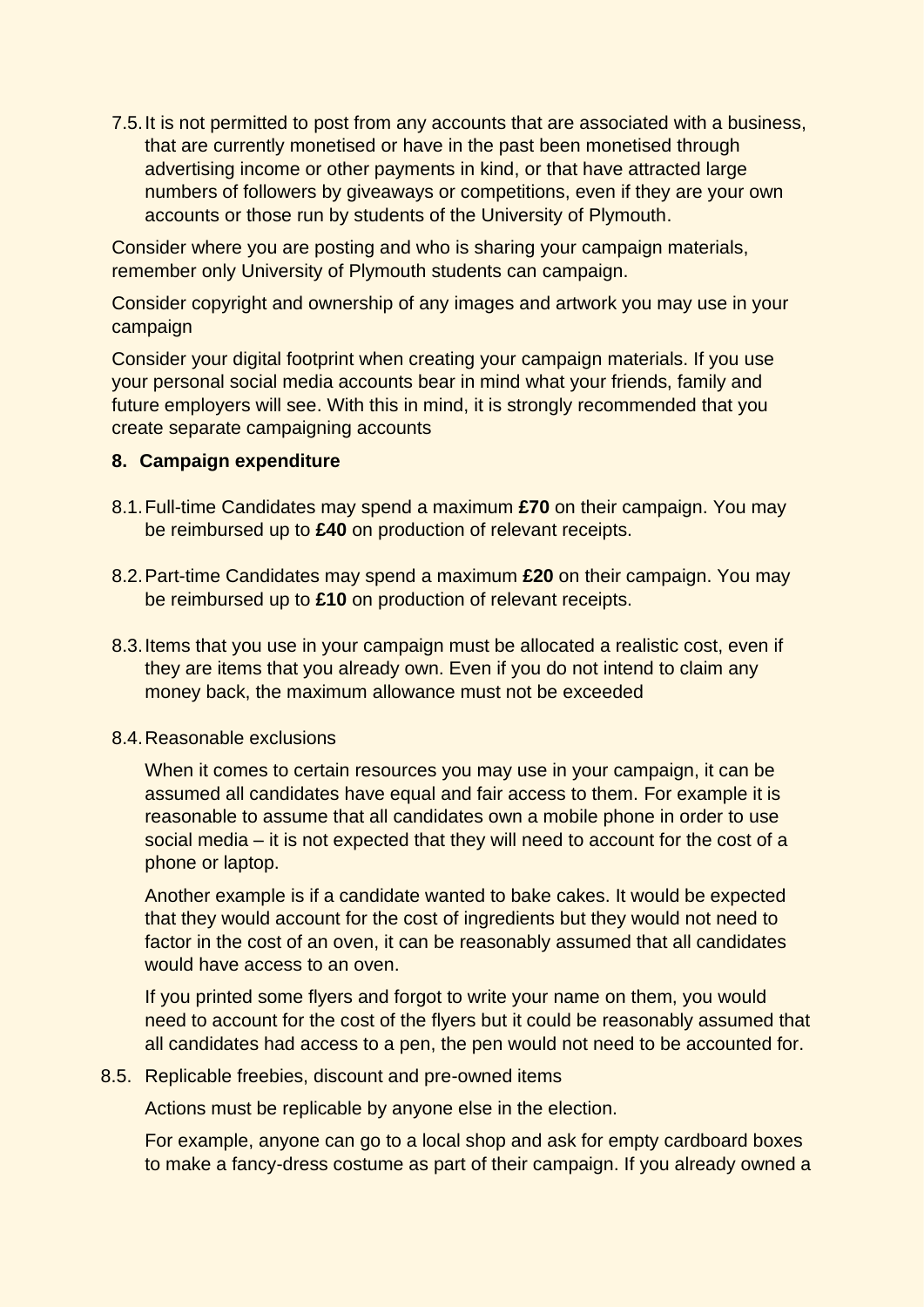7.5.It is not permitted to post from any accounts that are associated with a business, that are currently monetised or have in the past been monetised through advertising income or other payments in kind, or that have attracted large numbers of followers by giveaways or competitions, even if they are your own accounts or those run by students of the University of Plymouth.

Consider where you are posting and who is sharing your campaign materials, remember only University of Plymouth students can campaign.

Consider copyright and ownership of any images and artwork you may use in your campaign

Consider your digital footprint when creating your campaign materials. If you use your personal social media accounts bear in mind what your friends, family and future employers will see. With this in mind, it is strongly recommended that you create separate campaigning accounts

### **8. Campaign expenditure**

- 8.1.Full-time Candidates may spend a maximum **£70** on their campaign. You may be reimbursed up to **£40** on production of relevant receipts.
- 8.2.Part-time Candidates may spend a maximum **£20** on their campaign. You may be reimbursed up to **£10** on production of relevant receipts.
- 8.3.Items that you use in your campaign must be allocated a realistic cost, even if they are items that you already own. Even if you do not intend to claim any money back, the maximum allowance must not be exceeded

### 8.4.Reasonable exclusions

When it comes to certain resources you may use in your campaign, it can be assumed all candidates have equal and fair access to them. For example it is reasonable to assume that all candidates own a mobile phone in order to use social media – it is not expected that they will need to account for the cost of a phone or laptop.

Another example is if a candidate wanted to bake cakes. It would be expected that they would account for the cost of ingredients but they would not need to factor in the cost of an oven, it can be reasonably assumed that all candidates would have access to an oven.

If you printed some flyers and forgot to write your name on them, you would need to account for the cost of the flyers but it could be reasonably assumed that all candidates had access to a pen, the pen would not need to be accounted for.

### 8.5. Replicable freebies, discount and pre-owned items

Actions must be replicable by anyone else in the election.

For example, anyone can go to a local shop and ask for empty cardboard boxes to make a fancy-dress costume as part of their campaign. If you already owned a